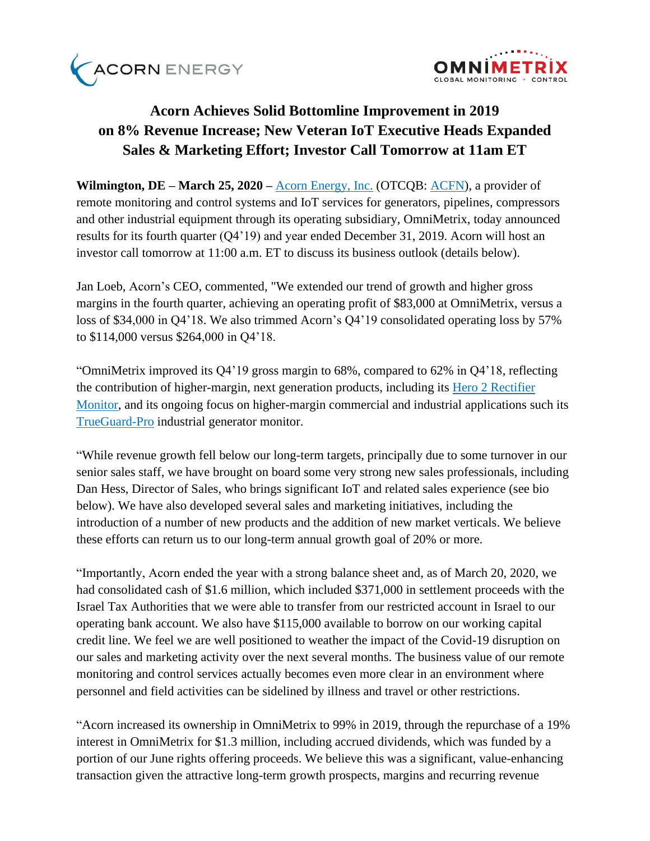



# **Acorn Achieves Solid Bottomline Improvement in 2019 on 8% Revenue Increase; New Veteran IoT Executive Heads Expanded Sales & Marketing Effort; Investor Call Tomorrow at 11am ET**

**Wilmington, DE – March 25, 2020 –** [Acorn Energy, Inc.](http://acornenergy.com/) (OTCQB: [ACFN\)](https://finance.yahoo.com/quote/ACFN/profile?p=ACFN), a provider of remote monitoring and control systems and IoT services for generators, pipelines, compressors and other industrial equipment through its operating subsidiary, OmniMetrix, today announced results for its fourth quarter (Q4'19) and year ended December 31, 2019. Acorn will host an investor call tomorrow at 11:00 a.m. ET to discuss its business outlook (details below).

Jan Loeb, Acorn's CEO, commented, "We extended our trend of growth and higher gross margins in the fourth quarter, achieving an operating profit of \$83,000 at OmniMetrix, versus a loss of \$34,000 in Q4'18. We also trimmed Acorn's Q4'19 consolidated operating loss by 57% to \$114,000 versus \$264,000 in Q4'18.

"OmniMetrix improved its Q4'19 gross margin to 68%, compared to 62% in Q4'18, reflecting the contribution of higher-margin, next generation products, including its [Hero 2 Rectifier](https://www.omnimetrix.net/wp-content/uploads/2018/12/Hero-2-Spec-Sheet1018.pdf)  [Monitor,](https://www.omnimetrix.net/wp-content/uploads/2018/12/Hero-2-Spec-Sheet1018.pdf) and its ongoing focus on higher-margin commercial and industrial applications such its [TrueGuard-Pro](https://www.omnimetrix.net/wp-content/uploads/2018/06/TrueGuard-Pro-Spec-Sheet-0518.pdf) industrial generator monitor.

"While revenue growth fell below our long-term targets, principally due to some turnover in our senior sales staff, we have brought on board some very strong new sales professionals, including Dan Hess, Director of Sales, who brings significant IoT and related sales experience (see bio below). We have also developed several sales and marketing initiatives, including the introduction of a number of new products and the addition of new market verticals. We believe these efforts can return us to our long-term annual growth goal of 20% or more.

"Importantly, Acorn ended the year with a strong balance sheet and, as of March 20, 2020, we had consolidated cash of \$1.6 million, which included \$371,000 in settlement proceeds with the Israel Tax Authorities that we were able to transfer from our restricted account in Israel to our operating bank account. We also have \$115,000 available to borrow on our working capital credit line. We feel we are well positioned to weather the impact of the Covid-19 disruption on our sales and marketing activity over the next several months. The business value of our remote monitoring and control services actually becomes even more clear in an environment where personnel and field activities can be sidelined by illness and travel or other restrictions.

"Acorn increased its ownership in OmniMetrix to 99% in 2019, through the repurchase of a 19% interest in OmniMetrix for \$1.3 million, including accrued dividends, which was funded by a portion of our June rights offering proceeds. We believe this was a significant, value-enhancing transaction given the attractive long-term growth prospects, margins and recurring revenue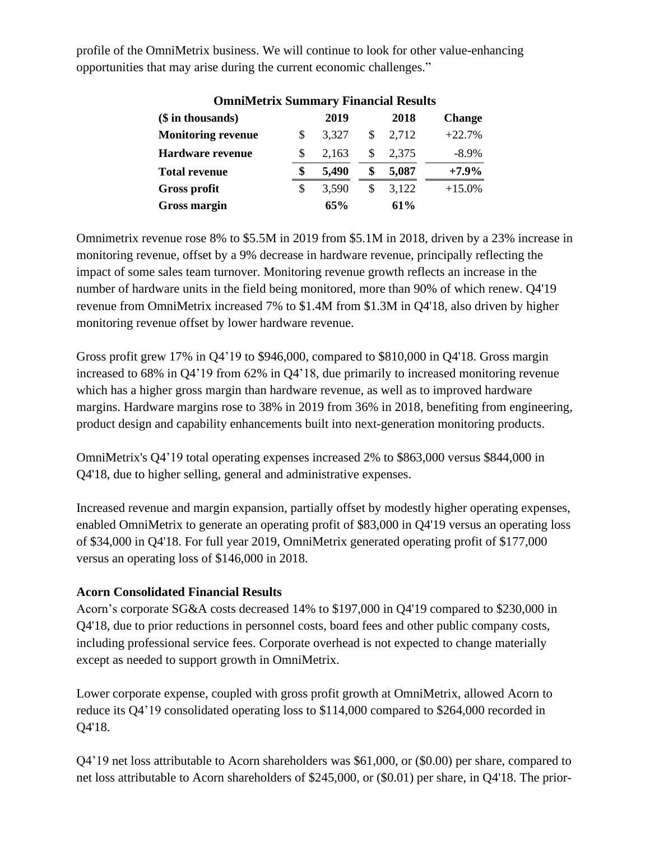| <b>OmniMetrix Summary Financial Results</b> |    |       |    |       |               |  |
|---------------------------------------------|----|-------|----|-------|---------------|--|
| (\$ in thousands)                           |    | 2019  |    | 2018  | <b>Change</b> |  |
| <b>Monitoring revenue</b>                   | S  | 3,327 | S  | 2,712 | $+22.7%$      |  |
| <b>Hardware revenue</b>                     | S  | 2,163 | \$ | 2,375 | $-8.9\%$      |  |
| <b>Total revenue</b>                        | \$ | 5,490 | \$ | 5,087 | $+7.9%$       |  |
| <b>Gross profit</b>                         | S  | 3,590 | S  | 3,122 | $+15.0%$      |  |
| <b>Gross margin</b>                         |    | 65%   |    | 61%   |               |  |

profile of the OmniMetrix business. We will continue to look for other value-enhancing opportunities that may arise during the current economic challenges."

Omnimetrix revenue rose 8% to \$5.5M in 2019 from \$5.1M in 2018, driven by a 23% increase in monitoring revenue, offset by a 9% decrease in hardware revenue, principally reflecting the impact of some sales team turnover. Monitoring revenue growth reflects an increase in the number of hardware units in the field being monitored, more than 90% of which renew. Q4'19 revenue from OmniMetrix increased 7% to \$1.4M from \$1.3M in Q4'18, also driven by higher monitoring revenue offset by lower hardware revenue.

Gross profit grew 17% in Q4'19 to \$946,000, compared to \$810,000 in Q4'18. Gross margin increased to 68% in Q4'19 from 62% in Q4'18, due primarily to increased monitoring revenue which has a higher gross margin than hardware revenue, as well as to improved hardware margins. Hardware margins rose to 38% in 2019 from 36% in 2018, benefiting from engineering, product design and capability enhancements built into next-generation monitoring products.

OmniMetrix's Q4'19 total operating expenses increased 2% to \$863,000 versus \$844,000 in Q4'18, due to higher selling, general and administrative expenses.

Increased revenue and margin expansion, partially offset by modestly higher operating expenses, enabled OmniMetrix to generate an operating profit of \$83,000 in Q4'19 versus an operating loss of \$34,000 in Q4'18. For full year 2019, OmniMetrix generated operating profit of \$177,000 versus an operating loss of \$146,000 in 2018.

# **Acorn Consolidated Financial Results**

Acorn's corporate SG&A costs decreased 14% to \$197,000 in Q4'19 compared to \$230,000 in Q4'18, due to prior reductions in personnel costs, board fees and other public company costs, including professional service fees. Corporate overhead is not expected to change materially except as needed to support growth in OmniMetrix.

Lower corporate expense, coupled with gross profit growth at OmniMetrix, allowed Acorn to reduce its Q4'19 consolidated operating loss to \$114,000 compared to \$264,000 recorded in Q4'18.

Q4'19 net loss attributable to Acorn shareholders was \$61,000, or (\$0.00) per share, compared to net loss attributable to Acorn shareholders of \$245,000, or (\$0.01) per share, in Q4'18. The prior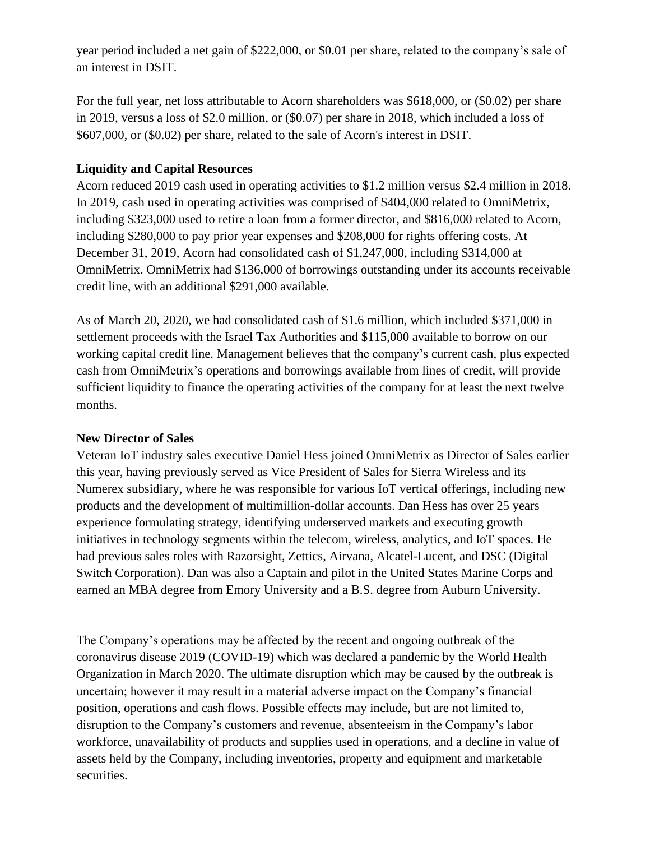year period included a net gain of \$222,000, or \$0.01 per share, related to the company's sale of an interest in DSIT.

For the full year, net loss attributable to Acorn shareholders was \$618,000, or (\$0.02) per share in 2019, versus a loss of \$2.0 million, or (\$0.07) per share in 2018, which included a loss of \$607,000, or (\$0.02) per share, related to the sale of Acorn's interest in DSIT.

# **Liquidity and Capital Resources**

Acorn reduced 2019 cash used in operating activities to \$1.2 million versus \$2.4 million in 2018. In 2019, cash used in operating activities was comprised of \$404,000 related to OmniMetrix, including \$323,000 used to retire a loan from a former director, and \$816,000 related to Acorn, including \$280,000 to pay prior year expenses and \$208,000 for rights offering costs. At December 31, 2019, Acorn had consolidated cash of \$1,247,000, including \$314,000 at OmniMetrix. OmniMetrix had \$136,000 of borrowings outstanding under its accounts receivable credit line, with an additional \$291,000 available.

As of March 20, 2020, we had consolidated cash of \$1.6 million, which included \$371,000 in settlement proceeds with the Israel Tax Authorities and \$115,000 available to borrow on our working capital credit line. Management believes that the company's current cash, plus expected cash from OmniMetrix's operations and borrowings available from lines of credit, will provide sufficient liquidity to finance the operating activities of the company for at least the next twelve months.

# **New Director of Sales**

Veteran IoT industry sales executive Daniel Hess joined OmniMetrix as Director of Sales earlier this year, having previously served as Vice President of Sales for Sierra Wireless and its Numerex subsidiary, where he was responsible for various IoT vertical offerings, including new products and the development of multimillion-dollar accounts. Dan Hess has over 25 years experience formulating strategy, identifying underserved markets and executing growth initiatives in technology segments within the telecom, wireless, analytics, and IoT spaces. He had previous sales roles with Razorsight, Zettics, Airvana, Alcatel-Lucent, and DSC (Digital Switch Corporation). Dan was also a Captain and pilot in the United States Marine Corps and earned an MBA degree from Emory University and a B.S. degree from Auburn University.

The Company's operations may be affected by the recent and ongoing outbreak of the coronavirus disease 2019 (COVID-19) which was declared a pandemic by the World Health Organization in March 2020. The ultimate disruption which may be caused by the outbreak is uncertain; however it may result in a material adverse impact on the Company's financial position, operations and cash flows. Possible effects may include, but are not limited to, disruption to the Company's customers and revenue, absenteeism in the Company's labor workforce, unavailability of products and supplies used in operations, and a decline in value of assets held by the Company, including inventories, property and equipment and marketable securities.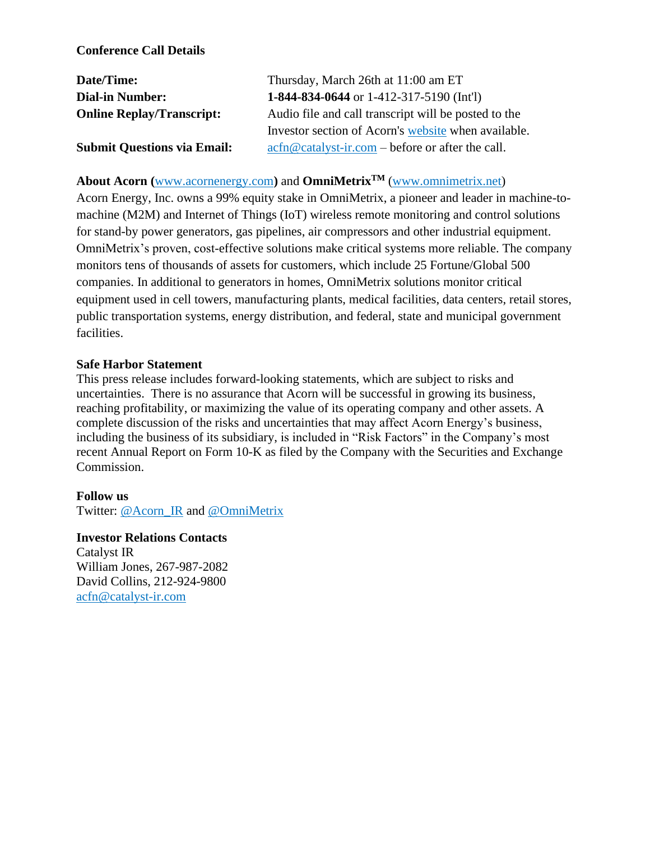### **Conference Call Details**

| Date/Time:                         | Thursday, March 26th at 11:00 am ET                                                                                           |
|------------------------------------|-------------------------------------------------------------------------------------------------------------------------------|
| <b>Dial-in Number:</b>             | 1-844-834-0644 or 1-412-317-5190 (Int'l)                                                                                      |
| <b>Online Replay/Transcript:</b>   | Audio file and call transcript will be posted to the                                                                          |
|                                    | Investor section of Acorn's website when available.                                                                           |
| <b>Submit Questions via Email:</b> | $\operatorname{acfn}\nolimits @ \operatorname{catalyst-ir}.\nolimits com - \operatorname{before}\nolimits$ or after the call. |

# **About Acorn (**[www.acornenergy.com](http://www.acornenergy.com/)**)** and **OmniMetrixTM** [\(www.omnimetrix.net\)](http://www.omnimetrix.net/)

Acorn Energy, Inc. owns a 99% equity stake in OmniMetrix, a pioneer and leader in machine-tomachine (M2M) and Internet of Things (IoT) wireless remote monitoring and control solutions for stand-by power generators, gas pipelines, air compressors and other industrial equipment. OmniMetrix's proven, cost-effective solutions make critical systems more reliable. The company monitors tens of thousands of assets for customers, which include 25 Fortune/Global 500 companies. In additional to generators in homes, OmniMetrix solutions monitor critical equipment used in cell towers, manufacturing plants, medical facilities, data centers, retail stores, public transportation systems, energy distribution, and federal, state and municipal government facilities.

#### **Safe Harbor Statement**

This press release includes forward-looking statements, which are subject to risks and uncertainties. There is no assurance that Acorn will be successful in growing its business, reaching profitability, or maximizing the value of its operating company and other assets. A complete discussion of the risks and uncertainties that may affect Acorn Energy's business, including the business of its subsidiary, is included in "Risk Factors" in the Company's most recent Annual Report on Form 10-K as filed by the Company with the Securities and Exchange Commission.

#### **Follow us**

Twitter: [@Acorn\\_IR](https://twitter.com/ACORN_IR) and [@OmniMetrix](https://twitter.com/OmniMetrix)

#### **Investor Relations Contacts**

Catalyst IR William Jones, 267-987-2082 David Collins, 212-924-9800 [acfn@catalyst-ir.com](mailto:acfn@catalyst-ir.com)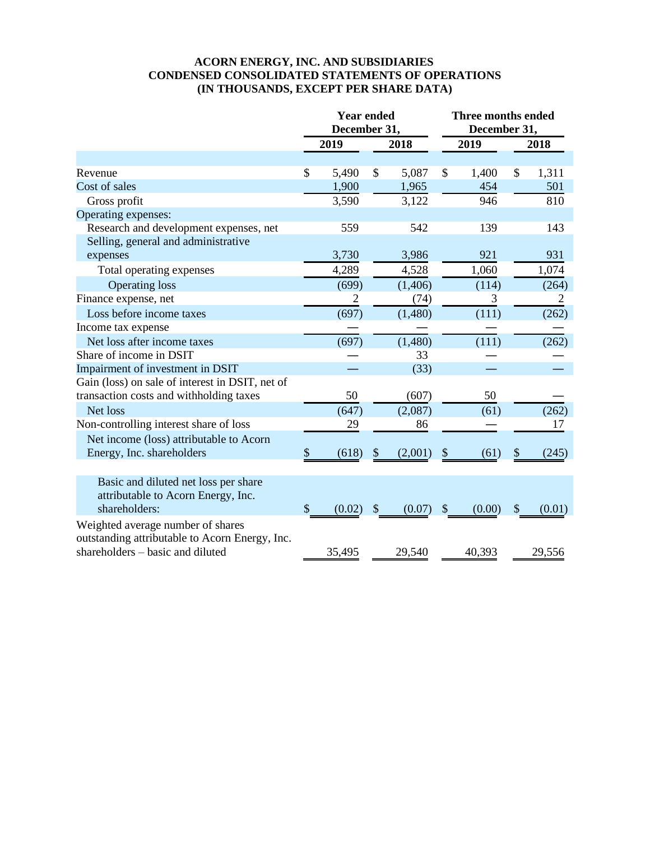#### **ACORN ENERGY, INC. AND SUBSIDIARIES CONDENSED CONSOLIDATED STATEMENTS OF OPERATIONS (IN THOUSANDS, EXCEPT PER SHARE DATA)**

|                                                 | <b>Year ended</b><br>December 31, |        |               | Three months ended<br>December 31, |               |        |               |        |
|-------------------------------------------------|-----------------------------------|--------|---------------|------------------------------------|---------------|--------|---------------|--------|
|                                                 |                                   | 2019   |               | 2018                               |               | 2019   |               | 2018   |
|                                                 |                                   |        |               |                                    |               |        |               |        |
| Revenue                                         | $\mathcal{S}$                     | 5,490  | \$            | 5,087                              | \$            | 1,400  | \$            | 1,311  |
| Cost of sales                                   |                                   | 1,900  |               | 1,965                              |               | 454    |               | 501    |
| Gross profit                                    |                                   | 3,590  |               | 3,122                              |               | 946    |               | 810    |
| Operating expenses:                             |                                   |        |               |                                    |               |        |               |        |
| Research and development expenses, net          |                                   | 559    |               | 542                                |               | 139    |               | 143    |
| Selling, general and administrative             |                                   |        |               |                                    |               |        |               |        |
| expenses                                        |                                   | 3,730  |               | 3,986                              |               | 921    |               | 931    |
| Total operating expenses                        |                                   | 4,289  |               | 4,528                              |               | 1,060  |               | 1,074  |
| <b>Operating loss</b>                           |                                   | (699)  |               | (1,406)                            |               | (114)  |               | (264)  |
| Finance expense, net                            |                                   | 2      |               | (74)                               |               | 3      |               | 2      |
| Loss before income taxes                        |                                   | (697)  |               | (1,480)                            |               | (111)  |               | (262)  |
| Income tax expense                              |                                   |        |               |                                    |               |        |               |        |
| Net loss after income taxes                     |                                   | (697)  |               | (1,480)                            |               | (111)  |               | (262)  |
| Share of income in DSIT                         |                                   |        |               | 33                                 |               |        |               |        |
| Impairment of investment in DSIT                |                                   |        |               | (33)                               |               |        |               |        |
| Gain (loss) on sale of interest in DSIT, net of |                                   |        |               |                                    |               |        |               |        |
| transaction costs and withholding taxes         |                                   | 50     |               | (607)                              |               | 50     |               |        |
| Net loss                                        |                                   | (647)  |               | (2,087)                            |               | (61)   |               | (262)  |
| Non-controlling interest share of loss          |                                   | 29     |               | 86                                 |               |        |               | 17     |
| Net income (loss) attributable to Acorn         |                                   |        |               |                                    |               |        |               |        |
| Energy, Inc. shareholders                       | \$                                | (618)  | \$            | (2,001)                            | $\$\$         | (61)   | \$            | (245)  |
|                                                 |                                   |        |               |                                    |               |        |               |        |
| Basic and diluted net loss per share            |                                   |        |               |                                    |               |        |               |        |
| attributable to Acorn Energy, Inc.              |                                   |        |               |                                    |               |        |               |        |
| shareholders:                                   | \$                                | (0.02) | $\mathcal{S}$ | (0.07)                             | $\mathcal{S}$ | (0.00) | $\mathcal{S}$ | (0.01) |
| Weighted average number of shares               |                                   |        |               |                                    |               |        |               |        |
| outstanding attributable to Acorn Energy, Inc.  |                                   |        |               |                                    |               |        |               |        |
| shareholders - basic and diluted                |                                   | 35,495 |               | 29,540                             |               | 40,393 |               | 29,556 |